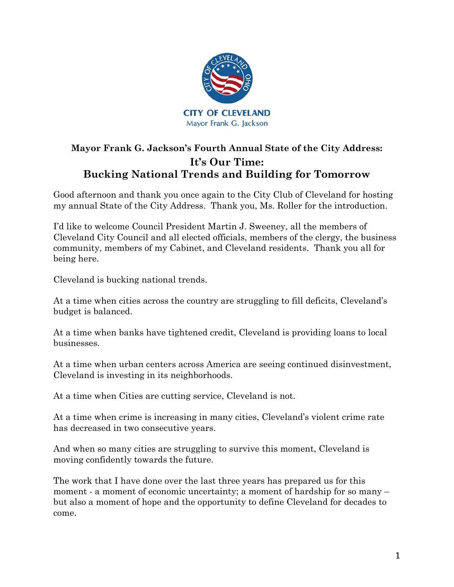

# **Mayor Frank G. Jackson's Fourth Annual State of the City Address: It's Our Time: Bucking National Trends and Building for Tomorrow**

Good afternoon and thank you once again to the City Club of Cleveland for hosting my annual State of the City Address. Thank you, Ms. Roller for the introduction.

I'd like to welcome Council President Martin J. Sweeney, all the members of Cleveland City Council and all elected officials, members of the clergy, the business community, members of my Cabinet, and Cleveland residents. Thank you all for being here.

Cleveland is bucking national trends.

At a time when cities across the country are struggling to fill deficits, Cleveland's budget is balanced.

At a time when banks have tightened credit, Cleveland is providing loans to local businesses.

At a time when urban centers across America are seeing continued disinvestment, Cleveland is investing in its neighborhoods.

At a time when Cities are cutting service, Cleveland is not.

At a time when crime is increasing in many cities, Cleveland's violent crime rate has decreased in two consecutive years.

And when so many cities are struggling to survive this moment, Cleveland is moving confidently towards the future.

The work that I have done over the last three years has prepared us for this moment - a moment of economic uncertainty; a moment of hardship for so many – but also a moment of hope and the opportunity to define Cleveland for decades to come.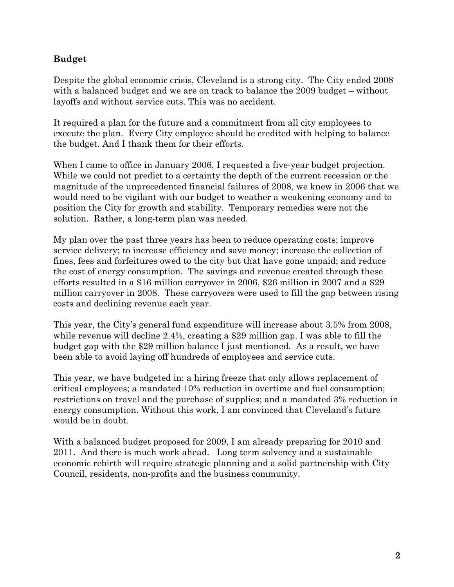#### **Budget**

Despite the global economic crisis, Cleveland is a strong city. The City ended 2008 with a balanced budget and we are on track to balance the 2009 budget – without layoffs and without service cuts. This was no accident.

It required a plan for the future and a commitment from all city employees to execute the plan. Every City employee should be credited with helping to balance the budget. And I thank them for their efforts.

When I came to office in January 2006, I requested a five-year budget projection. While we could not predict to a certainty the depth of the current recession or the magnitude of the unprecedented financial failures of 2008, we knew in 2006 that we would need to be vigilant with our budget to weather a weakening economy and to position the City for growth and stability. Temporary remedies were not the solution. Rather, a long-term plan was needed.

My plan over the past three years has been to reduce operating costs; improve service delivery; to increase efficiency and save money; increase the collection of fines, fees and forfeitures owed to the city but that have gone unpaid; and reduce the cost of energy consumption. The savings and revenue created through these efforts resulted in a \$16 million carryover in 2006, \$26 million in 2007 and a \$29 million carryover in 2008. These carryovers were used to fill the gap between rising costs and declining revenue each year.

This year, the City's general fund expenditure will increase about 3.5% from 2008, while revenue will decline 2.4%, creating a \$29 million gap. I was able to fill the budget gap with the \$29 million balance I just mentioned. As a result, we have been able to avoid laying off hundreds of employees and service cuts.

This year, we have budgeted in: a hiring freeze that only allows replacement of critical employees; a mandated 10% reduction in overtime and fuel consumption; restrictions on travel and the purchase of supplies; and a mandated 3% reduction in energy consumption. Without this work, I am convinced that Cleveland's future would be in doubt.

With a balanced budget proposed for 2009, I am already preparing for 2010 and 2011. And there is much work ahead. Long term solvency and a sustainable economic rebirth will require strategic planning and a solid partnership with City Council, residents, non-profits and the business community.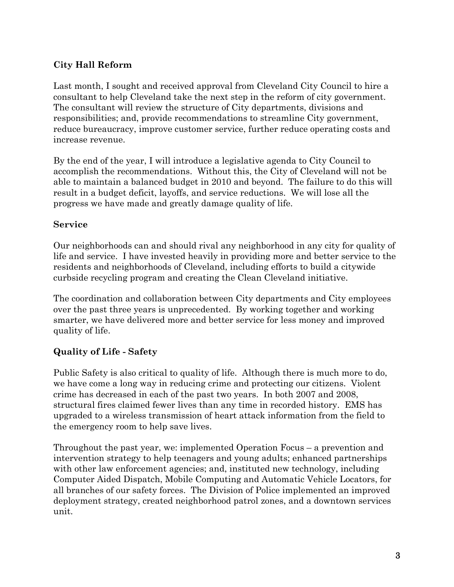## **City Hall Reform**

Last month, I sought and received approval from Cleveland City Council to hire a consultant to help Cleveland take the next step in the reform of city government. The consultant will review the structure of City departments, divisions and responsibilities; and, provide recommendations to streamline City government, reduce bureaucracy, improve customer service, further reduce operating costs and increase revenue.

By the end of the year, I will introduce a legislative agenda to City Council to accomplish the recommendations. Without this, the City of Cleveland will not be able to maintain a balanced budget in 2010 and beyond. The failure to do this will result in a budget deficit, layoffs, and service reductions. We will lose all the progress we have made and greatly damage quality of life.

#### **Service**

Our neighborhoods can and should rival any neighborhood in any city for quality of life and service. I have invested heavily in providing more and better service to the residents and neighborhoods of Cleveland, including efforts to build a citywide curbside recycling program and creating the Clean Cleveland initiative.

The coordination and collaboration between City departments and City employees over the past three years is unprecedented. By working together and working smarter, we have delivered more and better service for less money and improved quality of life.

# **Quality of Life - Safety**

Public Safety is also critical to quality of life. Although there is much more to do, we have come a long way in reducing crime and protecting our citizens. Violent crime has decreased in each of the past two years. In both 2007 and 2008, structural fires claimed fewer lives than any time in recorded history. EMS has upgraded to a wireless transmission of heart attack information from the field to the emergency room to help save lives.

Throughout the past year, we: implemented Operation Focus – a prevention and intervention strategy to help teenagers and young adults; enhanced partnerships with other law enforcement agencies; and, instituted new technology, including Computer Aided Dispatch, Mobile Computing and Automatic Vehicle Locators, for all branches of our safety forces. The Division of Police implemented an improved deployment strategy, created neighborhood patrol zones, and a downtown services unit.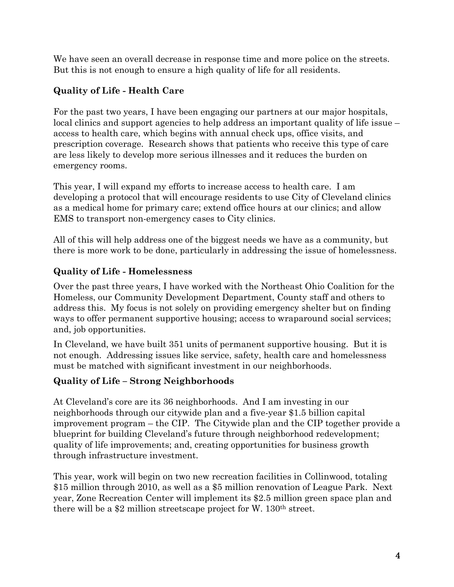We have seen an overall decrease in response time and more police on the streets. But this is not enough to ensure a high quality of life for all residents.

# **Quality of Life - Health Care**

For the past two years, I have been engaging our partners at our major hospitals, local clinics and support agencies to help address an important quality of life issue – access to health care, which begins with annual check ups, office visits, and prescription coverage. Research shows that patients who receive this type of care are less likely to develop more serious illnesses and it reduces the burden on emergency rooms.

This year, I will expand my efforts to increase access to health care. I am developing a protocol that will encourage residents to use City of Cleveland clinics as a medical home for primary care; extend office hours at our clinics; and allow EMS to transport non-emergency cases to City clinics.

All of this will help address one of the biggest needs we have as a community, but there is more work to be done, particularly in addressing the issue of homelessness.

### **Quality of Life - Homelessness**

Over the past three years, I have worked with the Northeast Ohio Coalition for the Homeless, our Community Development Department, County staff and others to address this. My focus is not solely on providing emergency shelter but on finding ways to offer permanent supportive housing; access to wraparound social services; and, job opportunities.

In Cleveland, we have built 351 units of permanent supportive housing. But it is not enough. Addressing issues like service, safety, health care and homelessness must be matched with significant investment in our neighborhoods.

### **Quality of Life – Strong Neighborhoods**

At Cleveland's core are its 36 neighborhoods. And I am investing in our neighborhoods through our citywide plan and a five-year \$1.5 billion capital improvement program – the CIP. The Citywide plan and the CIP together provide a blueprint for building Cleveland's future through neighborhood redevelopment; quality of life improvements; and, creating opportunities for business growth through infrastructure investment.

This year, work will begin on two new recreation facilities in Collinwood, totaling \$15 million through 2010, as well as a \$5 million renovation of League Park. Next year, Zone Recreation Center will implement its \$2.5 million green space plan and there will be a \$2 million streetscape project for W. 130th street.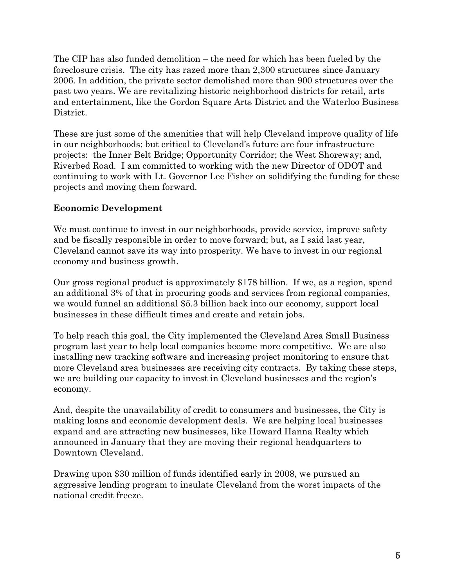The CIP has also funded demolition – the need for which has been fueled by the foreclosure crisis. The city has razed more than 2,300 structures since January 2006. In addition, the private sector demolished more than 900 structures over the past two years. We are revitalizing historic neighborhood districts for retail, arts and entertainment, like the Gordon Square Arts District and the Waterloo Business District.

These are just some of the amenities that will help Cleveland improve quality of life in our neighborhoods; but critical to Cleveland's future are four infrastructure projects: the Inner Belt Bridge; Opportunity Corridor; the West Shoreway; and, Riverbed Road. I am committed to working with the new Director of ODOT and continuing to work with Lt. Governor Lee Fisher on solidifying the funding for these projects and moving them forward.

#### **Economic Development**

We must continue to invest in our neighborhoods, provide service, improve safety and be fiscally responsible in order to move forward; but, as I said last year, Cleveland cannot save its way into prosperity. We have to invest in our regional economy and business growth.

Our gross regional product is approximately \$178 billion. If we, as a region, spend an additional 3% of that in procuring goods and services from regional companies, we would funnel an additional \$5.3 billion back into our economy, support local businesses in these difficult times and create and retain jobs.

To help reach this goal, the City implemented the Cleveland Area Small Business program last year to help local companies become more competitive. We are also installing new tracking software and increasing project monitoring to ensure that more Cleveland area businesses are receiving city contracts. By taking these steps, we are building our capacity to invest in Cleveland businesses and the region's economy.

And, despite the unavailability of credit to consumers and businesses, the City is making loans and economic development deals. We are helping local businesses expand and are attracting new businesses, like Howard Hanna Realty which announced in January that they are moving their regional headquarters to Downtown Cleveland.

Drawing upon \$30 million of funds identified early in 2008, we pursued an aggressive lending program to insulate Cleveland from the worst impacts of the national credit freeze.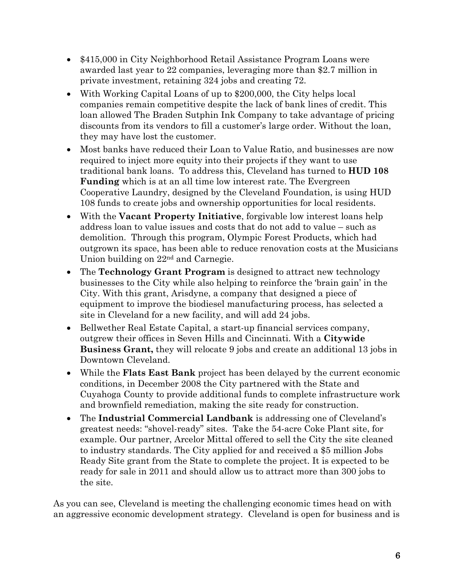- \$415,000 in City Neighborhood Retail Assistance Program Loans were awarded last year to 22 companies, leveraging more than \$2.7 million in private investment, retaining 324 jobs and creating 72.
- With Working Capital Loans of up to \$200,000, the City helps local companies remain competitive despite the lack of bank lines of credit. This loan allowed The Braden Sutphin Ink Company to take advantage of pricing discounts from its vendors to fill a customer's large order. Without the loan, they may have lost the customer.
- Most banks have reduced their Loan to Value Ratio, and businesses are now required to inject more equity into their projects if they want to use traditional bank loans. To address this, Cleveland has turned to **HUD 108 Funding** which is at an all time low interest rate. The Evergreen Cooperative Laundry, designed by the Cleveland Foundation, is using HUD 108 funds to create jobs and ownership opportunities for local residents.
- With the **Vacant Property Initiative**, forgivable low interest loans help address loan to value issues and costs that do not add to value – such as demolition. Through this program, Olympic Forest Products, which had outgrown its space, has been able to reduce renovation costs at the Musicians Union building on 22nd and Carnegie.
- The **Technology Grant Program** is designed to attract new technology businesses to the City while also helping to reinforce the 'brain gain' in the City. With this grant, Arisdyne, a company that designed a piece of equipment to improve the biodiesel manufacturing process, has selected a site in Cleveland for a new facility, and will add 24 jobs.
- Bellwether Real Estate Capital, a start-up financial services company, outgrew their offices in Seven Hills and Cincinnati. With a **Citywide Business Grant,** they will relocate 9 jobs and create an additional 13 jobs in Downtown Cleveland.
- While the **Flats East Bank** project has been delayed by the current economic conditions, in December 2008 the City partnered with the State and Cuyahoga County to provide additional funds to complete infrastructure work and brownfield remediation, making the site ready for construction.
- The **Industrial Commercial Landbank** is addressing one of Cleveland's greatest needs: "shovel-ready" sites. Take the 54-acre Coke Plant site, for example. Our partner, Arcelor Mittal offered to sell the City the site cleaned to industry standards. The City applied for and received a \$5 million Jobs Ready Site grant from the State to complete the project. It is expected to be ready for sale in 2011 and should allow us to attract more than 300 jobs to the site.

As you can see, Cleveland is meeting the challenging economic times head on with an aggressive economic development strategy. Cleveland is open for business and is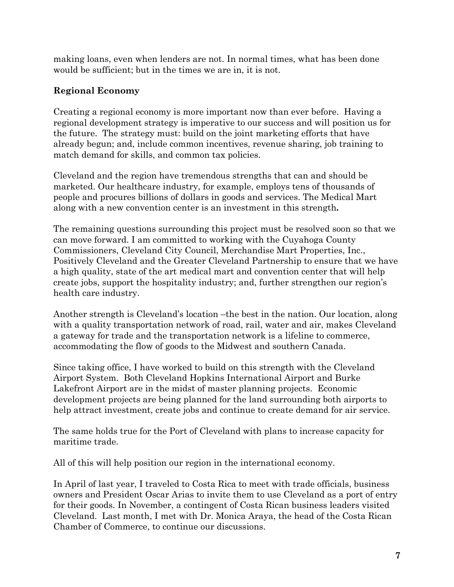making loans, even when lenders are not. In normal times, what has been done would be sufficient; but in the times we are in, it is not.

#### **Regional Economy**

Creating a regional economy is more important now than ever before. Having a regional development strategy is imperative to our success and will position us for the future. The strategy must: build on the joint marketing efforts that have already begun; and, include common incentives, revenue sharing, job training to match demand for skills, and common tax policies.

Cleveland and the region have tremendous strengths that can and should be marketed. Our healthcare industry, for example, employs tens of thousands of people and procures billions of dollars in goods and services. The Medical Mart along with a new convention center is an investment in this strength**.** 

The remaining questions surrounding this project must be resolved soon so that we can move forward. I am committed to working with the Cuyahoga County Commissioners, Cleveland City Council, Merchandise Mart Properties, Inc., Positively Cleveland and the Greater Cleveland Partnership to ensure that we have a high quality, state of the art medical mart and convention center that will help create jobs, support the hospitality industry; and, further strengthen our region's health care industry.

Another strength is Cleveland's location –the best in the nation. Our location, along with a quality transportation network of road, rail, water and air, makes Cleveland a gateway for trade and the transportation network is a lifeline to commerce, accommodating the flow of goods to the Midwest and southern Canada.

Since taking office, I have worked to build on this strength with the Cleveland Airport System. Both Cleveland Hopkins International Airport and Burke Lakefront Airport are in the midst of master planning projects. Economic development projects are being planned for the land surrounding both airports to help attract investment, create jobs and continue to create demand for air service.

The same holds true for the Port of Cleveland with plans to increase capacity for maritime trade.

All of this will help position our region in the international economy.

In April of last year, I traveled to Costa Rica to meet with trade officials, business owners and President Oscar Arias to invite them to use Cleveland as a port of entry for their goods. In November, a contingent of Costa Rican business leaders visited Cleveland. Last month, I met with Dr. Monica Araya, the head of the Costa Rican Chamber of Commerce, to continue our discussions.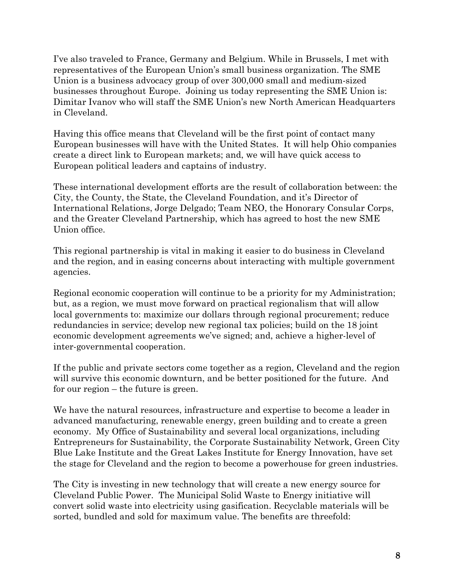I've also traveled to France, Germany and Belgium. While in Brussels, I met with representatives of the European Union's small business organization. The SME Union is a business advocacy group of over 300,000 small and medium-sized businesses throughout Europe. Joining us today representing the SME Union is: Dimitar Ivanov who will staff the SME Union's new North American Headquarters in Cleveland.

Having this office means that Cleveland will be the first point of contact many European businesses will have with the United States. It will help Ohio companies create a direct link to European markets; and, we will have quick access to European political leaders and captains of industry.

These international development efforts are the result of collaboration between: the City, the County, the State, the Cleveland Foundation, and it's Director of International Relations, Jorge Delgado; Team NEO, the Honorary Consular Corps, and the Greater Cleveland Partnership, which has agreed to host the new SME Union office.

This regional partnership is vital in making it easier to do business in Cleveland and the region, and in easing concerns about interacting with multiple government agencies.

Regional economic cooperation will continue to be a priority for my Administration; but, as a region, we must move forward on practical regionalism that will allow local governments to: maximize our dollars through regional procurement; reduce redundancies in service; develop new regional tax policies; build on the 18 joint economic development agreements we've signed; and, achieve a higher-level of inter-governmental cooperation.

If the public and private sectors come together as a region, Cleveland and the region will survive this economic downturn, and be better positioned for the future. And for our region – the future is green.

We have the natural resources, infrastructure and expertise to become a leader in advanced manufacturing, renewable energy, green building and to create a green economy. My Office of Sustainability and several local organizations, including Entrepreneurs for Sustainability, the Corporate Sustainability Network, Green City Blue Lake Institute and the Great Lakes Institute for Energy Innovation, have set the stage for Cleveland and the region to become a powerhouse for green industries.

The City is investing in new technology that will create a new energy source for Cleveland Public Power. The Municipal Solid Waste to Energy initiative will convert solid waste into electricity using gasification. Recyclable materials will be sorted, bundled and sold for maximum value. The benefits are threefold: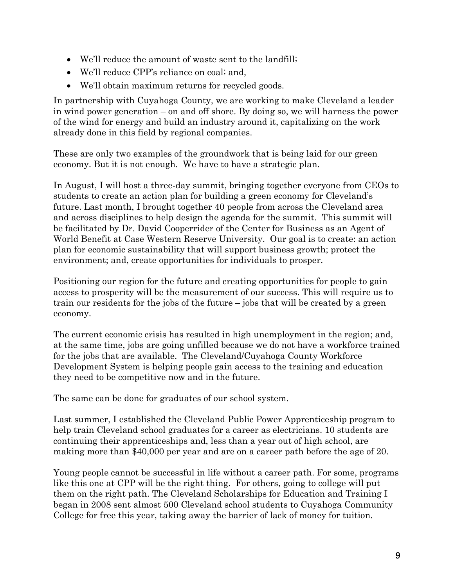- We'll reduce the amount of waste sent to the landfill;
- We'll reduce CPP's reliance on coal; and,
- We'll obtain maximum returns for recycled goods.

In partnership with Cuyahoga County, we are working to make Cleveland a leader in wind power generation – on and off shore. By doing so, we will harness the power of the wind for energy and build an industry around it, capitalizing on the work already done in this field by regional companies.

These are only two examples of the groundwork that is being laid for our green economy. But it is not enough. We have to have a strategic plan.

In August, I will host a three-day summit, bringing together everyone from CEOs to students to create an action plan for building a green economy for Cleveland's future. Last month, I brought together 40 people from across the Cleveland area and across disciplines to help design the agenda for the summit. This summit will be facilitated by Dr. David Cooperrider of the Center for Business as an Agent of World Benefit at Case Western Reserve University. Our goal is to create: an action plan for economic sustainability that will support business growth; protect the environment; and, create opportunities for individuals to prosper.

Positioning our region for the future and creating opportunities for people to gain access to prosperity will be the measurement of our success. This will require us to train our residents for the jobs of the future – jobs that will be created by a green economy.

The current economic crisis has resulted in high unemployment in the region; and, at the same time, jobs are going unfilled because we do not have a workforce trained for the jobs that are available. The Cleveland/Cuyahoga County Workforce Development System is helping people gain access to the training and education they need to be competitive now and in the future.

The same can be done for graduates of our school system.

Last summer, I established the Cleveland Public Power Apprenticeship program to help train Cleveland school graduates for a career as electricians. 10 students are continuing their apprenticeships and, less than a year out of high school, are making more than \$40,000 per year and are on a career path before the age of 20.

Young people cannot be successful in life without a career path. For some, programs like this one at CPP will be the right thing. For others, going to college will put them on the right path. The Cleveland Scholarships for Education and Training I began in 2008 sent almost 500 Cleveland school students to Cuyahoga Community College for free this year, taking away the barrier of lack of money for tuition.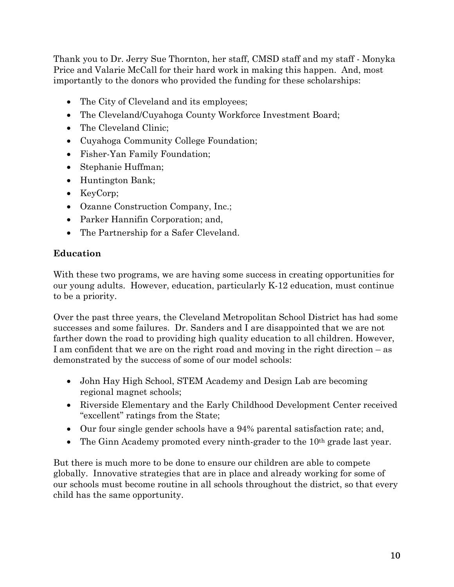Thank you to Dr. Jerry Sue Thornton, her staff, CMSD staff and my staff - Monyka Price and Valarie McCall for their hard work in making this happen. And, most importantly to the donors who provided the funding for these scholarships:

- The City of Cleveland and its employees;
- The Cleveland/Cuyahoga County Workforce Investment Board;
- The Cleveland Clinic;
- Cuyahoga Community College Foundation;
- Fisher-Yan Family Foundation;
- Stephanie Huffman;
- Huntington Bank;
- KeyCorp;
- Ozanne Construction Company, Inc.;
- Parker Hannifin Corporation; and,
- The Partnership for a Safer Cleveland.

#### **Education**

With these two programs, we are having some success in creating opportunities for our young adults. However, education, particularly K-12 education, must continue to be a priority.

Over the past three years, the Cleveland Metropolitan School District has had some successes and some failures. Dr. Sanders and I are disappointed that we are not farther down the road to providing high quality education to all children. However, I am confident that we are on the right road and moving in the right direction – as demonstrated by the success of some of our model schools:

- John Hay High School, STEM Academy and Design Lab are becoming regional magnet schools;
- Riverside Elementary and the Early Childhood Development Center received "excellent" ratings from the State;
- Our four single gender schools have a 94% parental satisfaction rate; and,
- The Ginn Academy promoted every ninth-grader to the  $10<sup>th</sup>$  grade last year.

But there is much more to be done to ensure our children are able to compete globally. Innovative strategies that are in place and already working for some of our schools must become routine in all schools throughout the district, so that every child has the same opportunity.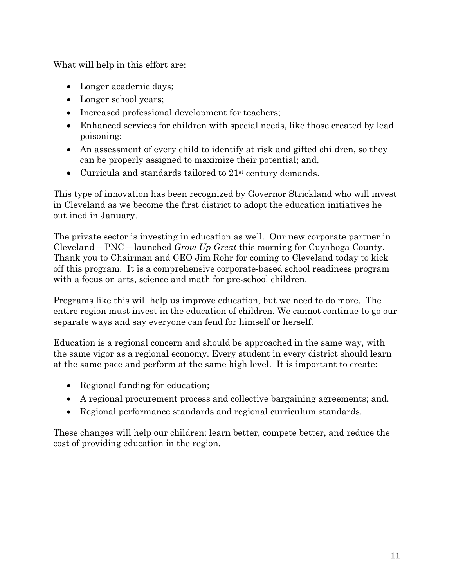What will help in this effort are:

- Longer academic days;
- Longer school years;
- Increased professional development for teachers;
- Enhanced services for children with special needs, like those created by lead poisoning;
- An assessment of every child to identify at risk and gifted children, so they can be properly assigned to maximize their potential; and,
- Curricula and standards tailored to 21<sup>st</sup> century demands.

This type of innovation has been recognized by Governor Strickland who will invest in Cleveland as we become the first district to adopt the education initiatives he outlined in January.

The private sector is investing in education as well. Our new corporate partner in Cleveland – PNC – launched *Grow Up Great* this morning for Cuyahoga County. Thank you to Chairman and CEO Jim Rohr for coming to Cleveland today to kick off this program. It is a comprehensive corporate-based school readiness program with a focus on arts, science and math for pre-school children.

Programs like this will help us improve education, but we need to do more. The entire region must invest in the education of children. We cannot continue to go our separate ways and say everyone can fend for himself or herself.

Education is a regional concern and should be approached in the same way, with the same vigor as a regional economy. Every student in every district should learn at the same pace and perform at the same high level. It is important to create:

- Regional funding for education;
- A regional procurement process and collective bargaining agreements; and.
- Regional performance standards and regional curriculum standards.

These changes will help our children: learn better, compete better, and reduce the cost of providing education in the region.